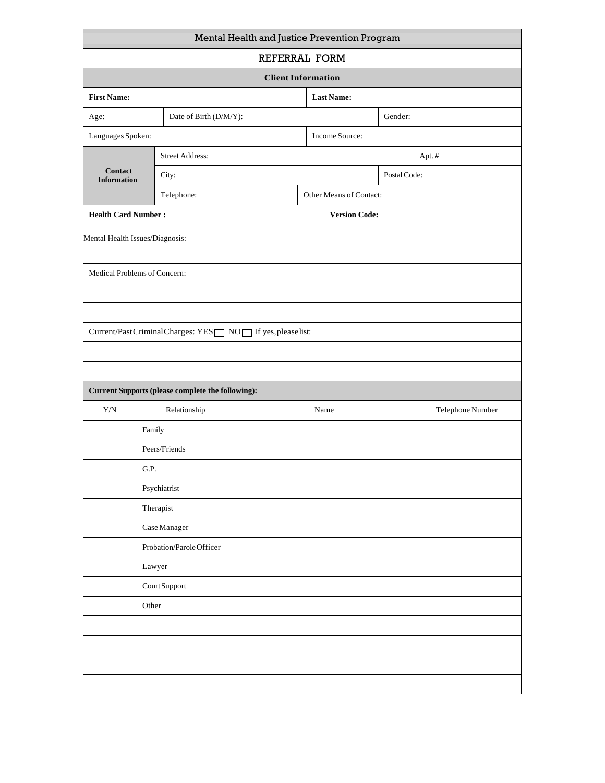| Mental Health and Justice Prevention Program                           |                               |                                                          |                         |                      |         |                  |  |  |  |  |  |  |
|------------------------------------------------------------------------|-------------------------------|----------------------------------------------------------|-------------------------|----------------------|---------|------------------|--|--|--|--|--|--|
| REFERRAL FORM                                                          |                               |                                                          |                         |                      |         |                  |  |  |  |  |  |  |
| <b>Client Information</b>                                              |                               |                                                          |                         |                      |         |                  |  |  |  |  |  |  |
| <b>First Name:</b>                                                     |                               |                                                          |                         | <b>Last Name:</b>    |         |                  |  |  |  |  |  |  |
| Date of Birth (D/M/Y):<br>Age:                                         |                               |                                                          |                         |                      | Gender: |                  |  |  |  |  |  |  |
| Languages Spoken:                                                      |                               |                                                          | Income Source:          |                      |         |                  |  |  |  |  |  |  |
|                                                                        |                               | <b>Street Address:</b>                                   |                         |                      |         | Apt.#            |  |  |  |  |  |  |
| Contact<br><b>Information</b>                                          |                               | City:                                                    |                         | Postal Code:         |         |                  |  |  |  |  |  |  |
|                                                                        |                               | Telephone:                                               | Other Means of Contact: |                      |         |                  |  |  |  |  |  |  |
| <b>Health Card Number:</b>                                             |                               |                                                          |                         | <b>Version Code:</b> |         |                  |  |  |  |  |  |  |
| Mental Health Issues/Diagnosis:                                        |                               |                                                          |                         |                      |         |                  |  |  |  |  |  |  |
|                                                                        |                               |                                                          |                         |                      |         |                  |  |  |  |  |  |  |
| Medical Problems of Concern:                                           |                               |                                                          |                         |                      |         |                  |  |  |  |  |  |  |
|                                                                        |                               |                                                          |                         |                      |         |                  |  |  |  |  |  |  |
|                                                                        |                               |                                                          |                         |                      |         |                  |  |  |  |  |  |  |
| Current/PastCriminalCharges: YES $\Box$ NO $\Box$ If yes, please list: |                               |                                                          |                         |                      |         |                  |  |  |  |  |  |  |
|                                                                        |                               |                                                          |                         |                      |         |                  |  |  |  |  |  |  |
|                                                                        |                               |                                                          |                         |                      |         |                  |  |  |  |  |  |  |
|                                                                        |                               | <b>Current Supports (please complete the following):</b> |                         |                      |         |                  |  |  |  |  |  |  |
| ${\rm Y/N}$                                                            |                               | Relationship                                             |                         | Name                 |         | Telephone Number |  |  |  |  |  |  |
|                                                                        | Family                        |                                                          |                         |                      |         |                  |  |  |  |  |  |  |
|                                                                        | Peers/Friends                 |                                                          |                         |                      |         |                  |  |  |  |  |  |  |
|                                                                        | G.P.                          |                                                          |                         |                      |         |                  |  |  |  |  |  |  |
|                                                                        | Psychiatrist                  |                                                          |                         |                      |         |                  |  |  |  |  |  |  |
|                                                                        | Therapist                     |                                                          |                         |                      |         |                  |  |  |  |  |  |  |
|                                                                        | $\operatorname{Case}$ Manager |                                                          |                         |                      |         |                  |  |  |  |  |  |  |
|                                                                        |                               | Probation/Parole Officer                                 |                         |                      |         |                  |  |  |  |  |  |  |
|                                                                        | Lawyer                        |                                                          |                         |                      |         |                  |  |  |  |  |  |  |
|                                                                        | Court Support                 |                                                          |                         |                      |         |                  |  |  |  |  |  |  |
|                                                                        | Other                         |                                                          |                         |                      |         |                  |  |  |  |  |  |  |
|                                                                        |                               |                                                          |                         |                      |         |                  |  |  |  |  |  |  |
|                                                                        |                               |                                                          |                         |                      |         |                  |  |  |  |  |  |  |
|                                                                        |                               |                                                          |                         |                      |         |                  |  |  |  |  |  |  |
|                                                                        |                               |                                                          |                         |                      |         |                  |  |  |  |  |  |  |